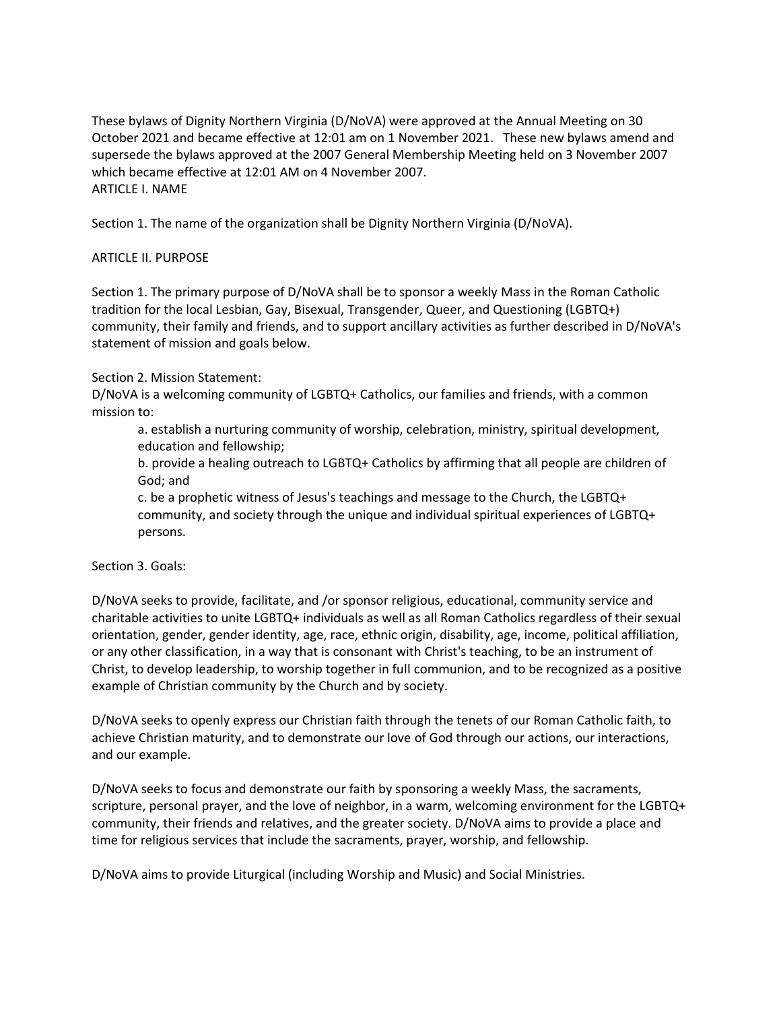These bylaws of Dignity Northern Virginia (D/NoVA) were approved at the Annual Meeting on 30 October 2021 and became effective at 12:01 am on 1 November 2021. These new bylaws amend and supersede the bylaws approved at the 2007 General Membership Meeting held on 3 November 2007 which became effective at 12:01 AM on 4 November 2007. ARTICLE I. NAME

Section 1. The name of the organization shall be Dignity Northern Virginia (D/NoVA).

### ARTICLE II. PURPOSE

Section 1. The primary purpose of D/NoVA shall be to sponsor a weekly Mass in the Roman Catholic tradition for the local Lesbian, Gay, Bisexual, Transgender, Queer, and Questioning (LGBTQ+) community, their family and friends, and to support ancillary activities as further described in D/NoVA's statement of mission and goals below.

### Section 2. Mission Statement:

D/NoVA is a welcoming community of LGBTQ+ Catholics, our families and friends, with a common mission to:

a. establish a nurturing community of worship, celebration, ministry, spiritual development, education and fellowship;

b. provide a healing outreach to LGBTQ+ Catholics by affirming that all people are children of God; and

c. be a prophetic witness of Jesus's teachings and message to the Church, the LGBTQ+ community, and society through the unique and individual spiritual experiences of LGBTQ+ persons.

#### Section 3. Goals:

D/NoVA seeks to provide, facilitate, and /or sponsor religious, educational, community service and charitable activities to unite LGBTQ+ individuals as well as all Roman Catholics regardless of their sexual orientation, gender, gender identity, age, race, ethnic origin, disability, age, income, political affiliation, or any other classification, in a way that is consonant with Christ's teaching, to be an instrument of Christ, to develop leadership, to worship together in full communion, and to be recognized as a positive example of Christian community by the Church and by society.

D/NoVA seeks to openly express our Christian faith through the tenets of our Roman Catholic faith, to achieve Christian maturity, and to demonstrate our love of God through our actions, our interactions, and our example.

D/NoVA seeks to focus and demonstrate our faith by sponsoring a weekly Mass, the sacraments, scripture, personal prayer, and the love of neighbor, in a warm, welcoming environment for the LGBTQ+ community, their friends and relatives, and the greater society. D/NoVA aims to provide a place and time for religious services that include the sacraments, prayer, worship, and fellowship.

D/NoVA aims to provide Liturgical (including Worship and Music) and Social Ministries.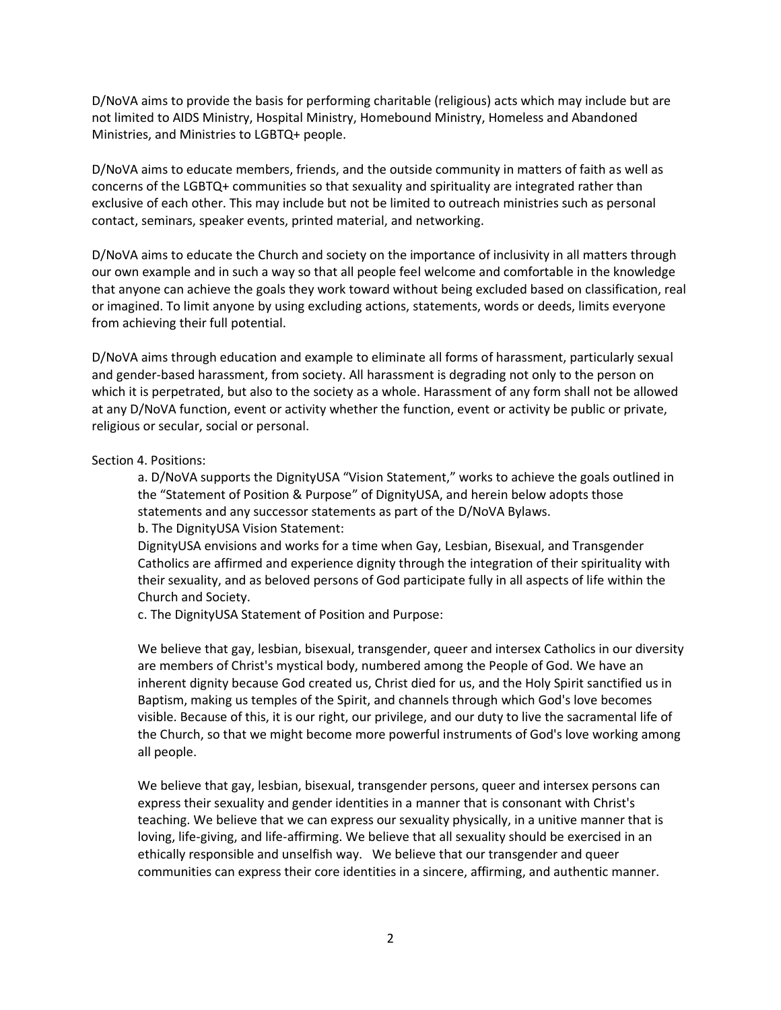D/NoVA aims to provide the basis for performing charitable (religious) acts which may include but are not limited to AIDS Ministry, Hospital Ministry, Homebound Ministry, Homeless and Abandoned Ministries, and Ministries to LGBTQ+ people.

D/NoVA aims to educate members, friends, and the outside community in matters of faith as well as concerns of the LGBTQ+ communities so that sexuality and spirituality are integrated rather than exclusive of each other. This may include but not be limited to outreach ministries such as personal contact, seminars, speaker events, printed material, and networking.

D/NoVA aims to educate the Church and society on the importance of inclusivity in all matters through our own example and in such a way so that all people feel welcome and comfortable in the knowledge that anyone can achieve the goals they work toward without being excluded based on classification, real or imagined. To limit anyone by using excluding actions, statements, words or deeds, limits everyone from achieving their full potential.

D/NoVA aims through education and example to eliminate all forms of harassment, particularly sexual and gender-based harassment, from society. All harassment is degrading not only to the person on which it is perpetrated, but also to the society as a whole. Harassment of any form shall not be allowed at any D/NoVA function, event or activity whether the function, event or activity be public or private, religious or secular, social or personal.

### Section 4. Positions:

a. D/NoVA supports the DignityUSA "Vision Statement," works to achieve the goals outlined in the "Statement of Position & Purpose" of DignityUSA, and herein below adopts those statements and any successor statements as part of the D/NoVA Bylaws.

b. The DignityUSA Vision Statement:

DignityUSA envisions and works for a time when Gay, Lesbian, Bisexual, and Transgender Catholics are affirmed and experience dignity through the integration of their spirituality with their sexuality, and as beloved persons of God participate fully in all aspects of life within the Church and Society.

c. The DignityUSA Statement of Position and Purpose:

We believe that gay, lesbian, bisexual, transgender, queer and intersex Catholics in our diversity are members of Christ's mystical body, numbered among the People of God. We have an inherent dignity because God created us, Christ died for us, and the Holy Spirit sanctified us in Baptism, making us temples of the Spirit, and channels through which God's love becomes visible. Because of this, it is our right, our privilege, and our duty to live the sacramental life of the Church, so that we might become more powerful instruments of God's love working among all people.

We believe that gay, lesbian, bisexual, transgender persons, queer and intersex persons can express their sexuality and gender identities in a manner that is consonant with Christ's teaching. We believe that we can express our sexuality physically, in a unitive manner that is loving, life-giving, and life-affirming. We believe that all sexuality should be exercised in an ethically responsible and unselfish way. We believe that our transgender and queer communities can express their core identities in a sincere, affirming, and authentic manner.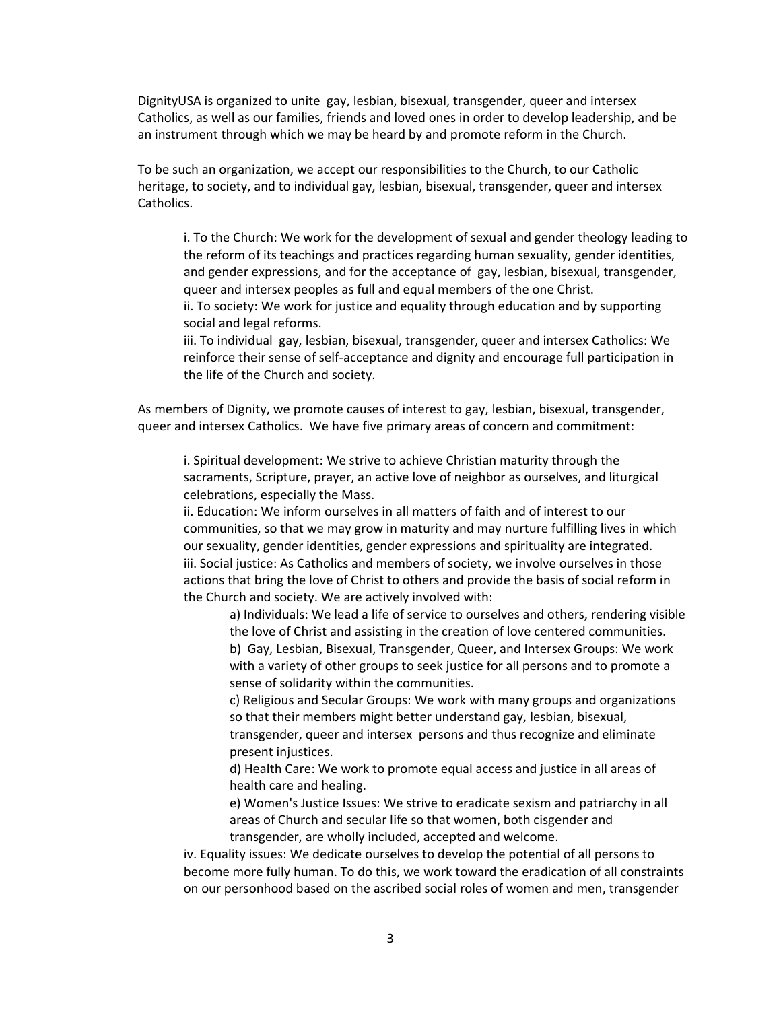DignityUSA is organized to unite gay, lesbian, bisexual, transgender, queer and intersex Catholics, as well as our families, friends and loved ones in order to develop leadership, and be an instrument through which we may be heard by and promote reform in the Church.

To be such an organization, we accept our responsibilities to the Church, to our Catholic heritage, to society, and to individual gay, lesbian, bisexual, transgender, queer and intersex Catholics.

i. To the Church: We work for the development of sexual and gender theology leading to the reform of its teachings and practices regarding human sexuality, gender identities, and gender expressions, and for the acceptance of gay, lesbian, bisexual, transgender, queer and intersex peoples as full and equal members of the one Christ.

ii. To society: We work for justice and equality through education and by supporting social and legal reforms.

iii. To individual gay, lesbian, bisexual, transgender, queer and intersex Catholics: We reinforce their sense of self-acceptance and dignity and encourage full participation in the life of the Church and society.

As members of Dignity, we promote causes of interest to gay, lesbian, bisexual, transgender, queer and intersex Catholics. We have five primary areas of concern and commitment:

i. Spiritual development: We strive to achieve Christian maturity through the sacraments, Scripture, prayer, an active love of neighbor as ourselves, and liturgical celebrations, especially the Mass.

ii. Education: We inform ourselves in all matters of faith and of interest to our communities, so that we may grow in maturity and may nurture fulfilling lives in which our sexuality, gender identities, gender expressions and spirituality are integrated. iii. Social justice: As Catholics and members of society, we involve ourselves in those actions that bring the love of Christ to others and provide the basis of social reform in the Church and society. We are actively involved with:

a) Individuals: We lead a life of service to ourselves and others, rendering visible the love of Christ and assisting in the creation of love centered communities. b) Gay, Lesbian, Bisexual, Transgender, Queer, and Intersex Groups: We work with a variety of other groups to seek justice for all persons and to promote a sense of solidarity within the communities.

c) Religious and Secular Groups: We work with many groups and organizations so that their members might better understand gay, lesbian, bisexual, transgender, queer and intersex persons and thus recognize and eliminate present injustices.

d) Health Care: We work to promote equal access and justice in all areas of health care and healing.

e) Women's Justice Issues: We strive to eradicate sexism and patriarchy in all areas of Church and secular life so that women, both cisgender and transgender, are wholly included, accepted and welcome.

iv. Equality issues: We dedicate ourselves to develop the potential of all persons to become more fully human. To do this, we work toward the eradication of all constraints on our personhood based on the ascribed social roles of women and men, transgender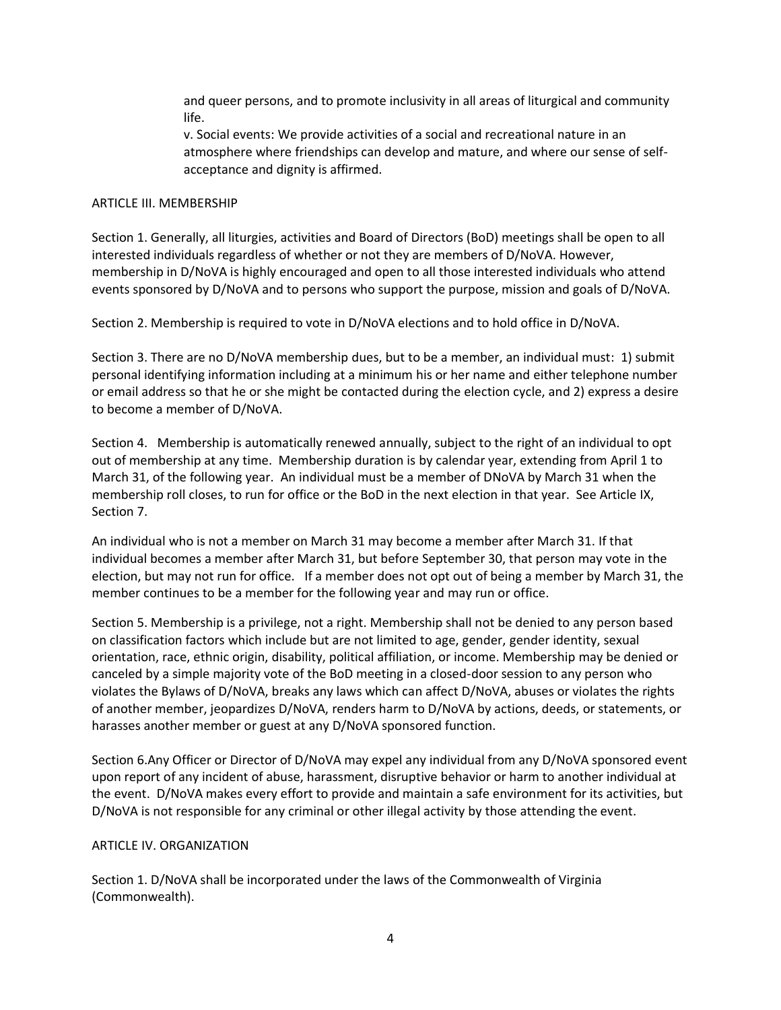and queer persons, and to promote inclusivity in all areas of liturgical and community life.

v. Social events: We provide activities of a social and recreational nature in an atmosphere where friendships can develop and mature, and where our sense of selfacceptance and dignity is affirmed.

### ARTICLE III. MEMBERSHIP

Section 1. Generally, all liturgies, activities and Board of Directors (BoD) meetings shall be open to all interested individuals regardless of whether or not they are members of D/NoVA. However, membership in D/NoVA is highly encouraged and open to all those interested individuals who attend events sponsored by D/NoVA and to persons who support the purpose, mission and goals of D/NoVA.

Section 2. Membership is required to vote in D/NoVA elections and to hold office in D/NoVA.

Section 3. There are no D/NoVA membership dues, but to be a member, an individual must: 1) submit personal identifying information including at a minimum his or her name and either telephone number or email address so that he or she might be contacted during the election cycle, and 2) express a desire to become a member of D/NoVA.

Section 4. Membership is automatically renewed annually, subject to the right of an individual to opt out of membership at any time. Membership duration is by calendar year, extending from April 1 to March 31, of the following year. An individual must be a member of DNoVA by March 31 when the membership roll closes, to run for office or the BoD in the next election in that year. See Article IX, Section 7.

An individual who is not a member on March 31 may become a member after March 31. If that individual becomes a member after March 31, but before September 30, that person may vote in the election, but may not run for office. If a member does not opt out of being a member by March 31, the member continues to be a member for the following year and may run or office.

Section 5. Membership is a privilege, not a right. Membership shall not be denied to any person based on classification factors which include but are not limited to age, gender, gender identity, sexual orientation, race, ethnic origin, disability, political affiliation, or income. Membership may be denied or canceled by a simple majority vote of the BoD meeting in a closed-door session to any person who violates the Bylaws of D/NoVA, breaks any laws which can affect D/NoVA, abuses or violates the rights of another member, jeopardizes D/NoVA, renders harm to D/NoVA by actions, deeds, or statements, or harasses another member or guest at any D/NoVA sponsored function.

Section 6.Any Officer or Director of D/NoVA may expel any individual from any D/NoVA sponsored event upon report of any incident of abuse, harassment, disruptive behavior or harm to another individual at the event. D/NoVA makes every effort to provide and maintain a safe environment for its activities, but D/NoVA is not responsible for any criminal or other illegal activity by those attending the event.

# ARTICLE IV. ORGANIZATION

Section 1. D/NoVA shall be incorporated under the laws of the Commonwealth of Virginia (Commonwealth).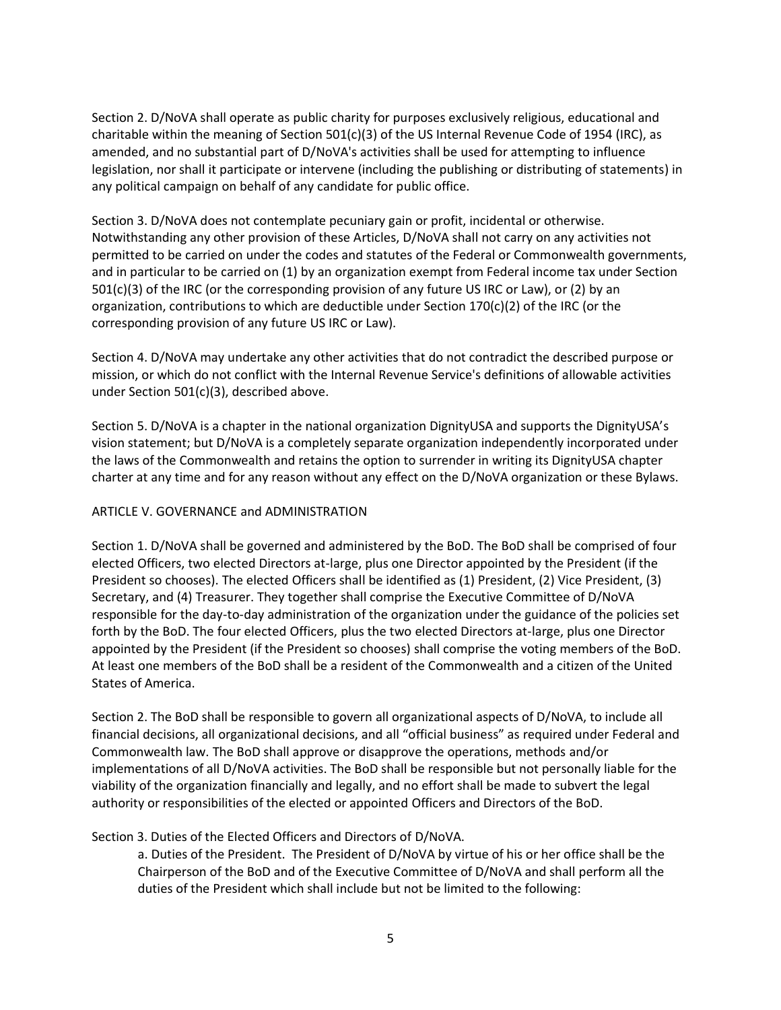Section 2. D/NoVA shall operate as public charity for purposes exclusively religious, educational and charitable within the meaning of Section 501(c)(3) of the US Internal Revenue Code of 1954 (IRC), as amended, and no substantial part of D/NoVA's activities shall be used for attempting to influence legislation, nor shall it participate or intervene (including the publishing or distributing of statements) in any political campaign on behalf of any candidate for public office.

Section 3. D/NoVA does not contemplate pecuniary gain or profit, incidental or otherwise. Notwithstanding any other provision of these Articles, D/NoVA shall not carry on any activities not permitted to be carried on under the codes and statutes of the Federal or Commonwealth governments, and in particular to be carried on (1) by an organization exempt from Federal income tax under Section 501(c)(3) of the IRC (or the corresponding provision of any future US IRC or Law), or (2) by an organization, contributions to which are deductible under Section  $170(c)(2)$  of the IRC (or the corresponding provision of any future US IRC or Law).

Section 4. D/NoVA may undertake any other activities that do not contradict the described purpose or mission, or which do not conflict with the Internal Revenue Service's definitions of allowable activities under Section 501(c)(3), described above.

Section 5. D/NoVA is a chapter in the national organization DignityUSA and supports the DignityUSA's vision statement; but D/NoVA is a completely separate organization independently incorporated under the laws of the Commonwealth and retains the option to surrender in writing its DignityUSA chapter charter at any time and for any reason without any effect on the D/NoVA organization or these Bylaws.

# ARTICLE V. GOVERNANCE and ADMINISTRATION

Section 1. D/NoVA shall be governed and administered by the BoD. The BoD shall be comprised of four elected Officers, two elected Directors at-large, plus one Director appointed by the President (if the President so chooses). The elected Officers shall be identified as (1) President, (2) Vice President, (3) Secretary, and (4) Treasurer. They together shall comprise the Executive Committee of D/NoVA responsible for the day-to-day administration of the organization under the guidance of the policies set forth by the BoD. The four elected Officers, plus the two elected Directors at-large, plus one Director appointed by the President (if the President so chooses) shall comprise the voting members of the BoD. At least one members of the BoD shall be a resident of the Commonwealth and a citizen of the United States of America.

Section 2. The BoD shall be responsible to govern all organizational aspects of D/NoVA, to include all financial decisions, all organizational decisions, and all "official business" as required under Federal and Commonwealth law. The BoD shall approve or disapprove the operations, methods and/or implementations of all D/NoVA activities. The BoD shall be responsible but not personally liable for the viability of the organization financially and legally, and no effort shall be made to subvert the legal authority or responsibilities of the elected or appointed Officers and Directors of the BoD.

# Section 3. Duties of the Elected Officers and Directors of D/NoVA.

a. Duties of the President. The President of D/NoVA by virtue of his or her office shall be the Chairperson of the BoD and of the Executive Committee of D/NoVA and shall perform all the duties of the President which shall include but not be limited to the following: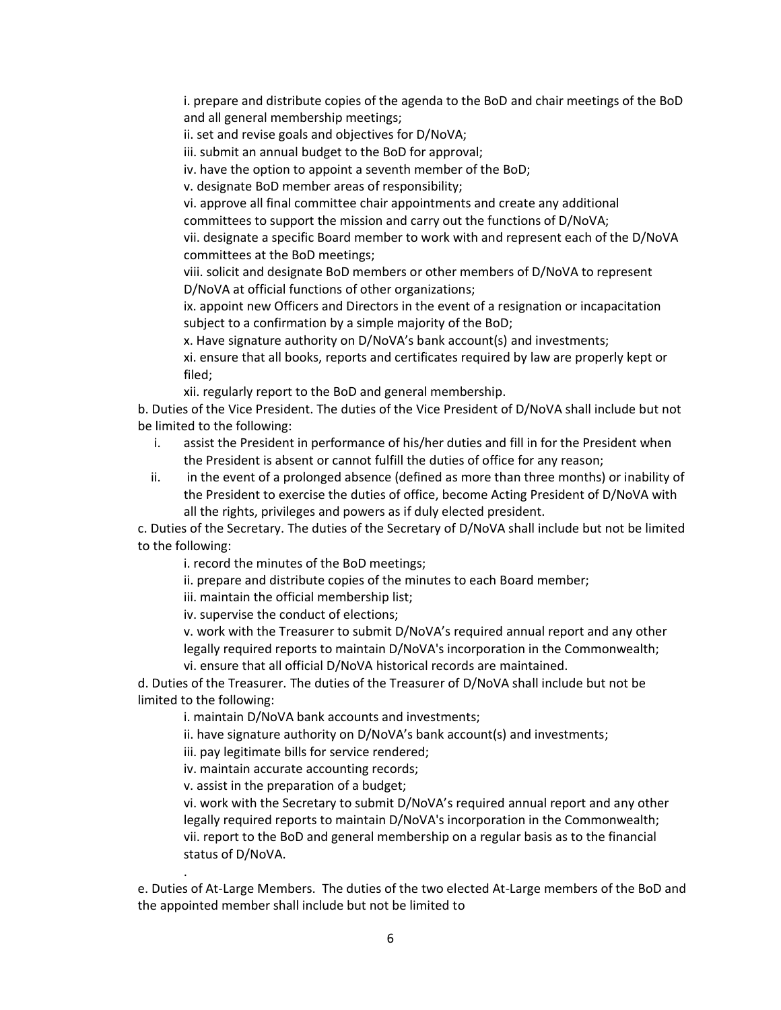i. prepare and distribute copies of the agenda to the BoD and chair meetings of the BoD and all general membership meetings;

ii. set and revise goals and objectives for D/NoVA;

iii. submit an annual budget to the BoD for approval;

iv. have the option to appoint a seventh member of the BoD;

v. designate BoD member areas of responsibility;

vi. approve all final committee chair appointments and create any additional committees to support the mission and carry out the functions of D/NoVA;

vii. designate a specific Board member to work with and represent each of the D/NoVA committees at the BoD meetings;

viii. solicit and designate BoD members or other members of D/NoVA to represent D/NoVA at official functions of other organizations;

ix. appoint new Officers and Directors in the event of a resignation or incapacitation subject to a confirmation by a simple majority of the BoD;

x. Have signature authority on D/NoVA's bank account(s) and investments;

xi. ensure that all books, reports and certificates required by law are properly kept or filed;

xii. regularly report to the BoD and general membership.

b. Duties of the Vice President. The duties of the Vice President of D/NoVA shall include but not be limited to the following:

- i. assist the President in performance of his/her duties and fill in for the President when the President is absent or cannot fulfill the duties of office for any reason;
- ii. in the event of a prolonged absence (defined as more than three months) or inability of the President to exercise the duties of office, become Acting President of D/NoVA with all the rights, privileges and powers as if duly elected president.

c. Duties of the Secretary. The duties of the Secretary of D/NoVA shall include but not be limited to the following:

i. record the minutes of the BoD meetings;

ii. prepare and distribute copies of the minutes to each Board member;

iii. maintain the official membership list;

iv. supervise the conduct of elections;

v. work with the Treasurer to submit D/NoVA's required annual report and any other legally required reports to maintain D/NoVA's incorporation in the Commonwealth; vi. ensure that all official D/NoVA historical records are maintained.

d. Duties of the Treasurer. The duties of the Treasurer of D/NoVA shall include but not be limited to the following:

i. maintain D/NoVA bank accounts and investments;

ii. have signature authority on D/NoVA's bank account(s) and investments;

iii. pay legitimate bills for service rendered;

iv. maintain accurate accounting records;

v. assist in the preparation of a budget;

.

vi. work with the Secretary to submit D/NoVA's required annual report and any other legally required reports to maintain D/NoVA's incorporation in the Commonwealth; vii. report to the BoD and general membership on a regular basis as to the financial status of D/NoVA.

e. Duties of At-Large Members. The duties of the two elected At-Large members of the BoD and the appointed member shall include but not be limited to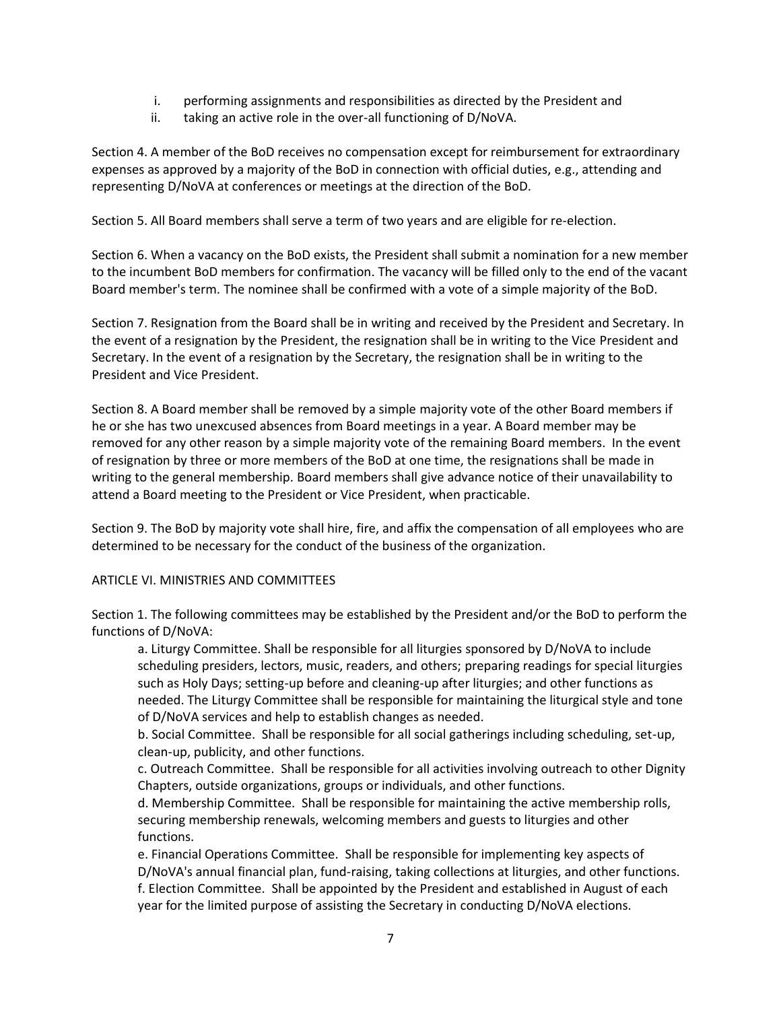- i. performing assignments and responsibilities as directed by the President and
- ii. taking an active role in the over-all functioning of D/NoVA.

Section 4. A member of the BoD receives no compensation except for reimbursement for extraordinary expenses as approved by a majority of the BoD in connection with official duties, e.g., attending and representing D/NoVA at conferences or meetings at the direction of the BoD.

Section 5. All Board members shall serve a term of two years and are eligible for re-election.

Section 6. When a vacancy on the BoD exists, the President shall submit a nomination for a new member to the incumbent BoD members for confirmation. The vacancy will be filled only to the end of the vacant Board member's term. The nominee shall be confirmed with a vote of a simple majority of the BoD.

Section 7. Resignation from the Board shall be in writing and received by the President and Secretary. In the event of a resignation by the President, the resignation shall be in writing to the Vice President and Secretary. In the event of a resignation by the Secretary, the resignation shall be in writing to the President and Vice President.

Section 8. A Board member shall be removed by a simple majority vote of the other Board members if he or she has two unexcused absences from Board meetings in a year. A Board member may be removed for any other reason by a simple majority vote of the remaining Board members. In the event of resignation by three or more members of the BoD at one time, the resignations shall be made in writing to the general membership. Board members shall give advance notice of their unavailability to attend a Board meeting to the President or Vice President, when practicable.

Section 9. The BoD by majority vote shall hire, fire, and affix the compensation of all employees who are determined to be necessary for the conduct of the business of the organization.

# ARTICLE VI. MINISTRIES AND COMMITTEES

Section 1. The following committees may be established by the President and/or the BoD to perform the functions of D/NoVA:

a. Liturgy Committee. Shall be responsible for all liturgies sponsored by D/NoVA to include scheduling presiders, lectors, music, readers, and others; preparing readings for special liturgies such as Holy Days; setting-up before and cleaning-up after liturgies; and other functions as needed. The Liturgy Committee shall be responsible for maintaining the liturgical style and tone of D/NoVA services and help to establish changes as needed.

b. Social Committee. Shall be responsible for all social gatherings including scheduling, set-up, clean-up, publicity, and other functions.

c. Outreach Committee. Shall be responsible for all activities involving outreach to other Dignity Chapters, outside organizations, groups or individuals, and other functions.

d. Membership Committee. Shall be responsible for maintaining the active membership rolls, securing membership renewals, welcoming members and guests to liturgies and other functions.

e. Financial Operations Committee. Shall be responsible for implementing key aspects of D/NoVA's annual financial plan, fund-raising, taking collections at liturgies, and other functions. f. Election Committee. Shall be appointed by the President and established in August of each year for the limited purpose of assisting the Secretary in conducting D/NoVA elections.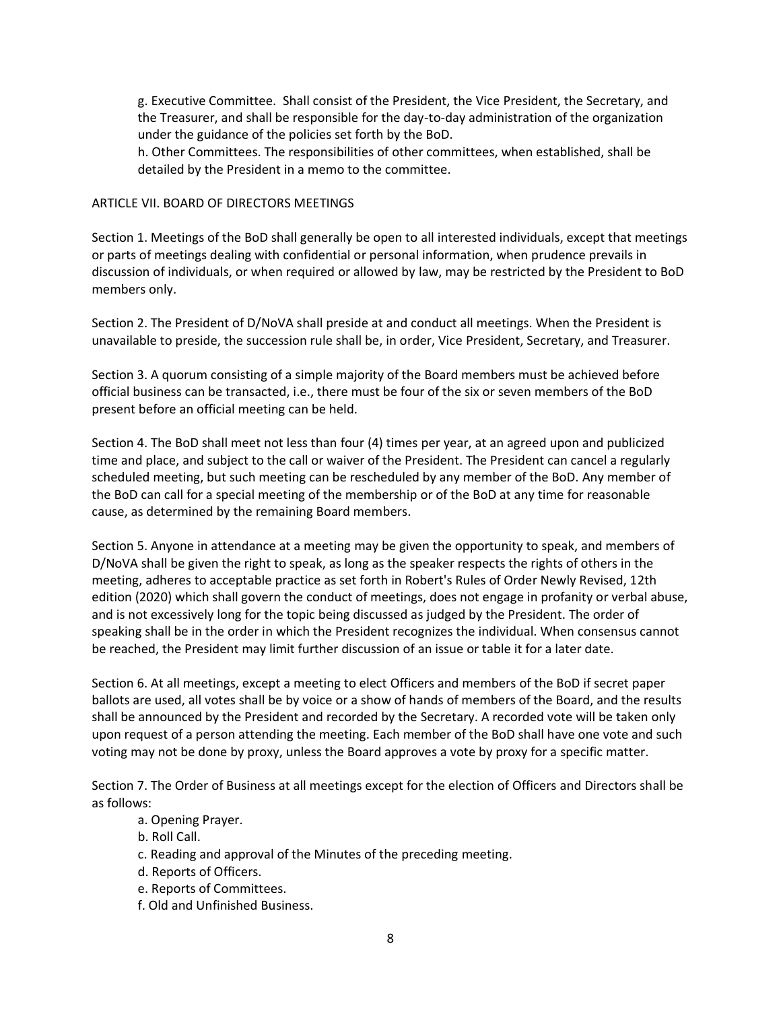g. Executive Committee. Shall consist of the President, the Vice President, the Secretary, and the Treasurer, and shall be responsible for the day-to-day administration of the organization under the guidance of the policies set forth by the BoD.

h. Other Committees. The responsibilities of other committees, when established, shall be detailed by the President in a memo to the committee.

# ARTICLE VII. BOARD OF DIRECTORS MEETINGS

Section 1. Meetings of the BoD shall generally be open to all interested individuals, except that meetings or parts of meetings dealing with confidential or personal information, when prudence prevails in discussion of individuals, or when required or allowed by law, may be restricted by the President to BoD members only.

Section 2. The President of D/NoVA shall preside at and conduct all meetings. When the President is unavailable to preside, the succession rule shall be, in order, Vice President, Secretary, and Treasurer.

Section 3. A quorum consisting of a simple majority of the Board members must be achieved before official business can be transacted, i.e., there must be four of the six or seven members of the BoD present before an official meeting can be held.

Section 4. The BoD shall meet not less than four (4) times per year, at an agreed upon and publicized time and place, and subject to the call or waiver of the President. The President can cancel a regularly scheduled meeting, but such meeting can be rescheduled by any member of the BoD. Any member of the BoD can call for a special meeting of the membership or of the BoD at any time for reasonable cause, as determined by the remaining Board members.

Section 5. Anyone in attendance at a meeting may be given the opportunity to speak, and members of D/NoVA shall be given the right to speak, as long as the speaker respects the rights of others in the meeting, adheres to acceptable practice as set forth in Robert's Rules of Order Newly Revised, 12th edition (2020) which shall govern the conduct of meetings, does not engage in profanity or verbal abuse, and is not excessively long for the topic being discussed as judged by the President. The order of speaking shall be in the order in which the President recognizes the individual. When consensus cannot be reached, the President may limit further discussion of an issue or table it for a later date.

Section 6. At all meetings, except a meeting to elect Officers and members of the BoD if secret paper ballots are used, all votes shall be by voice or a show of hands of members of the Board, and the results shall be announced by the President and recorded by the Secretary. A recorded vote will be taken only upon request of a person attending the meeting. Each member of the BoD shall have one vote and such voting may not be done by proxy, unless the Board approves a vote by proxy for a specific matter.

Section 7. The Order of Business at all meetings except for the election of Officers and Directors shall be as follows:

- a. Opening Prayer.
- b. Roll Call.
- c. Reading and approval of the Minutes of the preceding meeting.
- d. Reports of Officers.
- e. Reports of Committees.
- f. Old and Unfinished Business.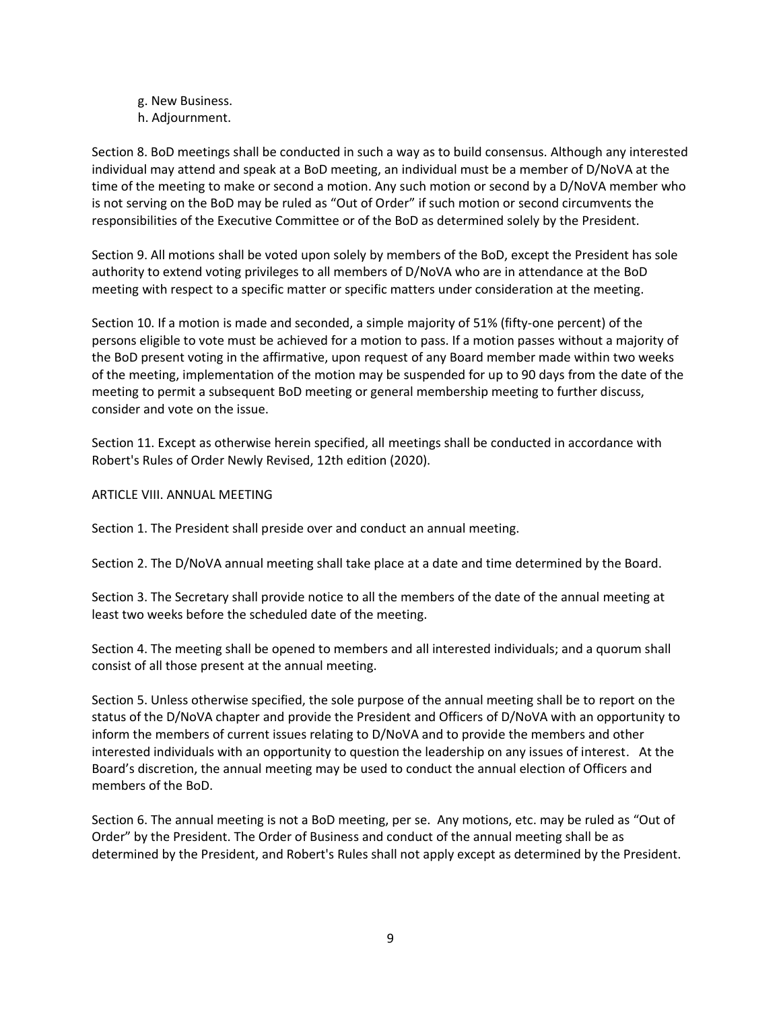g. New Business.

h. Adjournment.

Section 8. BoD meetings shall be conducted in such a way as to build consensus. Although any interested individual may attend and speak at a BoD meeting, an individual must be a member of D/NoVA at the time of the meeting to make or second a motion. Any such motion or second by a D/NoVA member who is not serving on the BoD may be ruled as "Out of Order" if such motion or second circumvents the responsibilities of the Executive Committee or of the BoD as determined solely by the President.

Section 9. All motions shall be voted upon solely by members of the BoD, except the President has sole authority to extend voting privileges to all members of D/NoVA who are in attendance at the BoD meeting with respect to a specific matter or specific matters under consideration at the meeting.

Section 10. If a motion is made and seconded, a simple majority of 51% (fifty-one percent) of the persons eligible to vote must be achieved for a motion to pass. If a motion passes without a majority of the BoD present voting in the affirmative, upon request of any Board member made within two weeks of the meeting, implementation of the motion may be suspended for up to 90 days from the date of the meeting to permit a subsequent BoD meeting or general membership meeting to further discuss, consider and vote on the issue.

Section 11. Except as otherwise herein specified, all meetings shall be conducted in accordance with Robert's Rules of Order Newly Revised, 12th edition (2020).

### ARTICLE VIII. ANNUAL MEETING

Section 1. The President shall preside over and conduct an annual meeting.

Section 2. The D/NoVA annual meeting shall take place at a date and time determined by the Board.

Section 3. The Secretary shall provide notice to all the members of the date of the annual meeting at least two weeks before the scheduled date of the meeting.

Section 4. The meeting shall be opened to members and all interested individuals; and a quorum shall consist of all those present at the annual meeting.

Section 5. Unless otherwise specified, the sole purpose of the annual meeting shall be to report on the status of the D/NoVA chapter and provide the President and Officers of D/NoVA with an opportunity to inform the members of current issues relating to D/NoVA and to provide the members and other interested individuals with an opportunity to question the leadership on any issues of interest. At the Board's discretion, the annual meeting may be used to conduct the annual election of Officers and members of the BoD.

Section 6. The annual meeting is not a BoD meeting, per se. Any motions, etc. may be ruled as "Out of Order" by the President. The Order of Business and conduct of the annual meeting shall be as determined by the President, and Robert's Rules shall not apply except as determined by the President.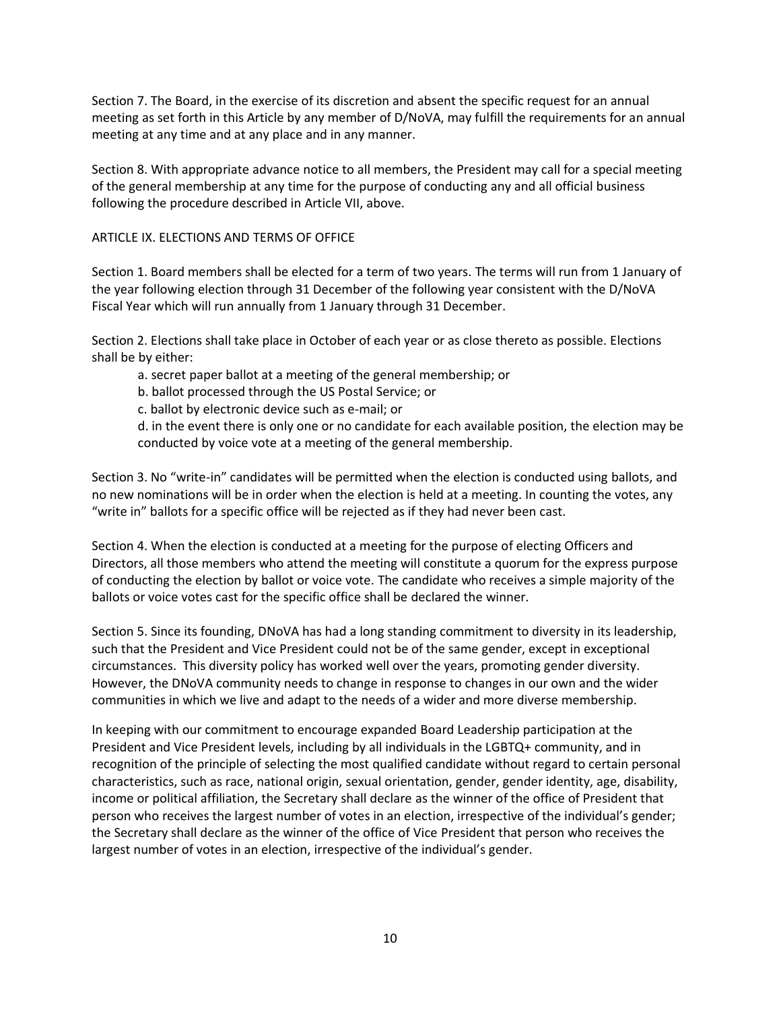Section 7. The Board, in the exercise of its discretion and absent the specific request for an annual meeting as set forth in this Article by any member of D/NoVA, may fulfill the requirements for an annual meeting at any time and at any place and in any manner.

Section 8. With appropriate advance notice to all members, the President may call for a special meeting of the general membership at any time for the purpose of conducting any and all official business following the procedure described in Article VII, above.

# ARTICLE IX. ELECTIONS AND TERMS OF OFFICE

Section 1. Board members shall be elected for a term of two years. The terms will run from 1 January of the year following election through 31 December of the following year consistent with the D/NoVA Fiscal Year which will run annually from 1 January through 31 December.

Section 2. Elections shall take place in October of each year or as close thereto as possible. Elections shall be by either:

- a. secret paper ballot at a meeting of the general membership; or
- b. ballot processed through the US Postal Service; or
- c. ballot by electronic device such as e-mail; or

d. in the event there is only one or no candidate for each available position, the election may be conducted by voice vote at a meeting of the general membership.

Section 3. No "write-in" candidates will be permitted when the election is conducted using ballots, and no new nominations will be in order when the election is held at a meeting. In counting the votes, any "write in" ballots for a specific office will be rejected as if they had never been cast.

Section 4. When the election is conducted at a meeting for the purpose of electing Officers and Directors, all those members who attend the meeting will constitute a quorum for the express purpose of conducting the election by ballot or voice vote. The candidate who receives a simple majority of the ballots or voice votes cast for the specific office shall be declared the winner.

Section 5. Since its founding, DNoVA has had a long standing commitment to diversity in its leadership, such that the President and Vice President could not be of the same gender, except in exceptional circumstances. This diversity policy has worked well over the years, promoting gender diversity. However, the DNoVA community needs to change in response to changes in our own and the wider communities in which we live and adapt to the needs of a wider and more diverse membership.

In keeping with our commitment to encourage expanded Board Leadership participation at the President and Vice President levels, including by all individuals in the LGBTQ+ community, and in recognition of the principle of selecting the most qualified candidate without regard to certain personal characteristics, such as race, national origin, sexual orientation, gender, gender identity, age, disability, income or political affiliation, the Secretary shall declare as the winner of the office of President that person who receives the largest number of votes in an election, irrespective of the individual's gender; the Secretary shall declare as the winner of the office of Vice President that person who receives the largest number of votes in an election, irrespective of the individual's gender.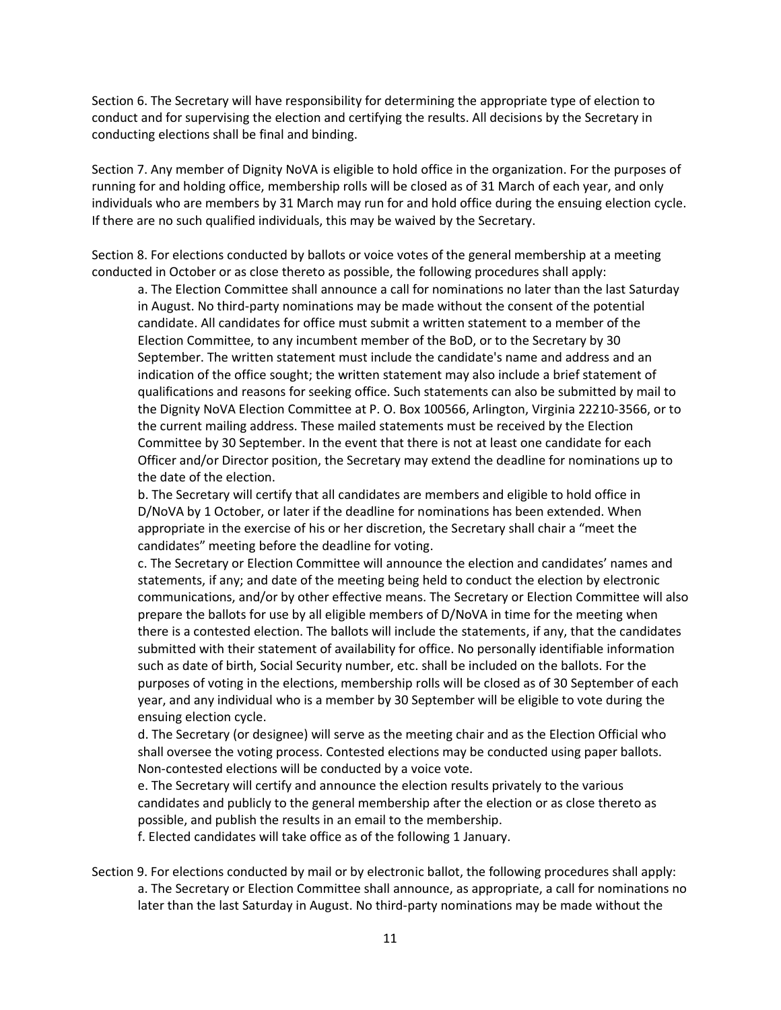Section 6. The Secretary will have responsibility for determining the appropriate type of election to conduct and for supervising the election and certifying the results. All decisions by the Secretary in conducting elections shall be final and binding.

Section 7. Any member of Dignity NoVA is eligible to hold office in the organization. For the purposes of running for and holding office, membership rolls will be closed as of 31 March of each year, and only individuals who are members by 31 March may run for and hold office during the ensuing election cycle. If there are no such qualified individuals, this may be waived by the Secretary.

Section 8. For elections conducted by ballots or voice votes of the general membership at a meeting conducted in October or as close thereto as possible, the following procedures shall apply:

a. The Election Committee shall announce a call for nominations no later than the last Saturday in August. No third-party nominations may be made without the consent of the potential candidate. All candidates for office must submit a written statement to a member of the Election Committee, to any incumbent member of the BoD, or to the Secretary by 30 September. The written statement must include the candidate's name and address and an indication of the office sought; the written statement may also include a brief statement of qualifications and reasons for seeking office. Such statements can also be submitted by mail to the Dignity NoVA Election Committee at P. O. Box 100566, Arlington, Virginia 22210-3566, or to the current mailing address. These mailed statements must be received by the Election Committee by 30 September. In the event that there is not at least one candidate for each Officer and/or Director position, the Secretary may extend the deadline for nominations up to the date of the election.

b. The Secretary will certify that all candidates are members and eligible to hold office in D/NoVA by 1 October, or later if the deadline for nominations has been extended. When appropriate in the exercise of his or her discretion, the Secretary shall chair a "meet the candidates" meeting before the deadline for voting.

c. The Secretary or Election Committee will announce the election and candidates' names and statements, if any; and date of the meeting being held to conduct the election by electronic communications, and/or by other effective means. The Secretary or Election Committee will also prepare the ballots for use by all eligible members of D/NoVA in time for the meeting when there is a contested election. The ballots will include the statements, if any, that the candidates submitted with their statement of availability for office. No personally identifiable information such as date of birth, Social Security number, etc. shall be included on the ballots. For the purposes of voting in the elections, membership rolls will be closed as of 30 September of each year, and any individual who is a member by 30 September will be eligible to vote during the ensuing election cycle.

d. The Secretary (or designee) will serve as the meeting chair and as the Election Official who shall oversee the voting process. Contested elections may be conducted using paper ballots. Non-contested elections will be conducted by a voice vote.

e. The Secretary will certify and announce the election results privately to the various candidates and publicly to the general membership after the election or as close thereto as possible, and publish the results in an email to the membership.

f. Elected candidates will take office as of the following 1 January.

Section 9. For elections conducted by mail or by electronic ballot, the following procedures shall apply: a. The Secretary or Election Committee shall announce, as appropriate, a call for nominations no later than the last Saturday in August. No third-party nominations may be made without the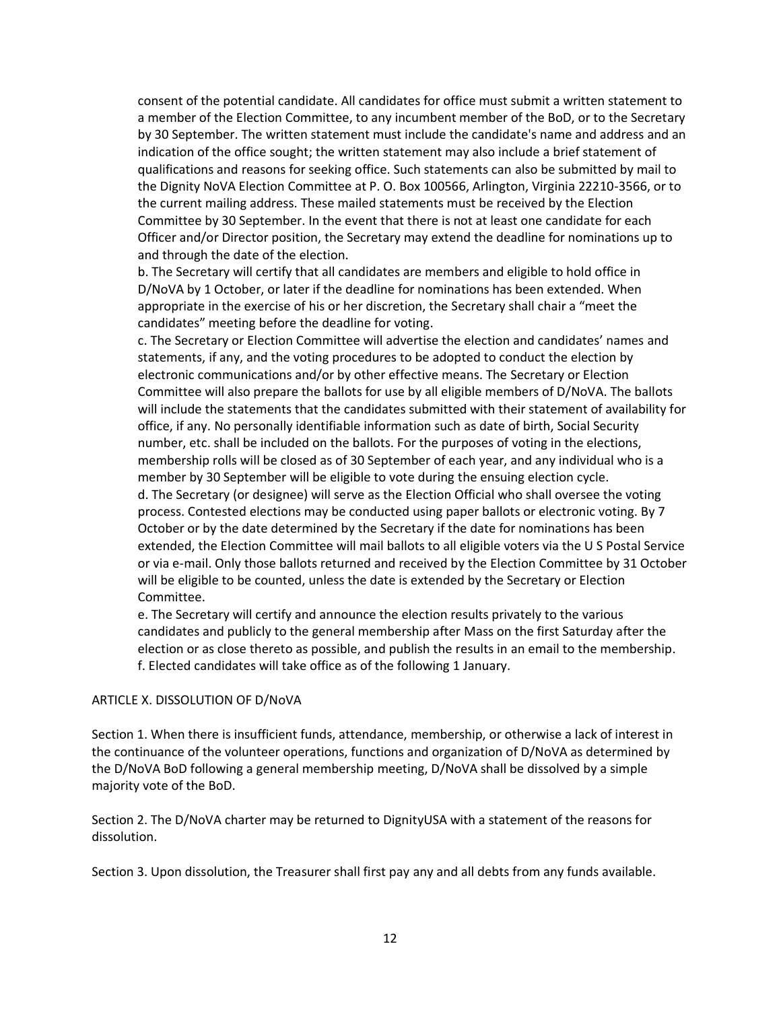consent of the potential candidate. All candidates for office must submit a written statement to a member of the Election Committee, to any incumbent member of the BoD, or to the Secretary by 30 September. The written statement must include the candidate's name and address and an indication of the office sought; the written statement may also include a brief statement of qualifications and reasons for seeking office. Such statements can also be submitted by mail to the Dignity NoVA Election Committee at P. O. Box 100566, Arlington, Virginia 22210-3566, or to the current mailing address. These mailed statements must be received by the Election Committee by 30 September. In the event that there is not at least one candidate for each Officer and/or Director position, the Secretary may extend the deadline for nominations up to and through the date of the election.

b. The Secretary will certify that all candidates are members and eligible to hold office in D/NoVA by 1 October, or later if the deadline for nominations has been extended. When appropriate in the exercise of his or her discretion, the Secretary shall chair a "meet the candidates" meeting before the deadline for voting.

c. The Secretary or Election Committee will advertise the election and candidates' names and statements, if any, and the voting procedures to be adopted to conduct the election by electronic communications and/or by other effective means. The Secretary or Election Committee will also prepare the ballots for use by all eligible members of D/NoVA. The ballots will include the statements that the candidates submitted with their statement of availability for office, if any. No personally identifiable information such as date of birth, Social Security number, etc. shall be included on the ballots. For the purposes of voting in the elections, membership rolls will be closed as of 30 September of each year, and any individual who is a member by 30 September will be eligible to vote during the ensuing election cycle. d. The Secretary (or designee) will serve as the Election Official who shall oversee the voting process. Contested elections may be conducted using paper ballots or electronic voting. By 7 October or by the date determined by the Secretary if the date for nominations has been extended, the Election Committee will mail ballots to all eligible voters via the U S Postal Service or via e-mail. Only those ballots returned and received by the Election Committee by 31 October will be eligible to be counted, unless the date is extended by the Secretary or Election Committee.

e. The Secretary will certify and announce the election results privately to the various candidates and publicly to the general membership after Mass on the first Saturday after the election or as close thereto as possible, and publish the results in an email to the membership. f. Elected candidates will take office as of the following 1 January.

#### ARTICLE X. DISSOLUTION OF D/NoVA

Section 1. When there is insufficient funds, attendance, membership, or otherwise a lack of interest in the continuance of the volunteer operations, functions and organization of D/NoVA as determined by the D/NoVA BoD following a general membership meeting, D/NoVA shall be dissolved by a simple majority vote of the BoD.

Section 2. The D/NoVA charter may be returned to DignityUSA with a statement of the reasons for dissolution.

Section 3. Upon dissolution, the Treasurer shall first pay any and all debts from any funds available.